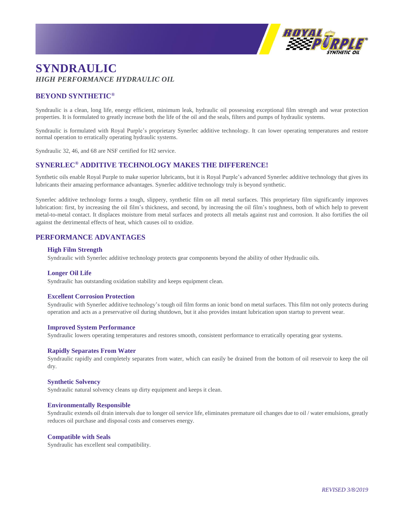

# **SYNDRAULIC** *HIGH PERFORMANCE HYDRAULIC OIL*

## **BEYOND SYNTHETIC®**

Syndraulic is a clean, long life, energy efficient, minimum leak, hydraulic oil possessing exceptional film strength and wear protection properties. It is formulated to greatly increase both the life of the oil and the seals, filters and pumps of hydraulic systems.

Syndraulic is formulated with Royal Purple's proprietary Synerlec additive technology. It can lower operating temperatures and restore normal operation to erratically operating hydraulic systems.

Syndraulic 32, 46, and 68 are NSF certified for H2 service.

## **SYNERLEC® ADDITIVE TECHNOLOGY MAKES THE DIFFERENCE!**

Synthetic oils enable Royal Purple to make superior lubricants, but it is Royal Purple's advanced Synerlec additive technology that gives its lubricants their amazing performance advantages. Synerlec additive technology truly is beyond synthetic.

Synerlec additive technology forms a tough, slippery, synthetic film on all metal surfaces. This proprietary film significantly improves lubrication: first, by increasing the oil film's thickness, and second, by increasing the oil film's toughness, both of which help to prevent metal-to-metal contact. It displaces moisture from metal surfaces and protects all metals against rust and corrosion. It also fortifies the oil against the detrimental effects of heat, which causes oil to oxidize.

### **PERFORMANCE ADVANTAGES**

#### **High Film Strength**

Syndraulic with Synerlec additive technology protects gear components beyond the ability of other Hydraulic oils.

#### **Longer Oil Life**

Syndraulic has outstanding oxidation stability and keeps equipment clean.

#### **Excellent Corrosion Protection**

Syndraulic with Synerlec additive technology's tough oil film forms an ionic bond on metal surfaces. This film not only protects during operation and acts as a preservative oil during shutdown, but it also provides instant lubrication upon startup to prevent wear.

#### **Improved System Performance**

Syndraulic lowers operating temperatures and restores smooth, consistent performance to erratically operating gear systems.

#### **Rapidly Separates From Water**

Syndraulic rapidly and completely separates from water, which can easily be drained from the bottom of oil reservoir to keep the oil dry.

#### **Synthetic Solvency**

Syndraulic natural solvency cleans up dirty equipment and keeps it clean.

#### **Environmentally Responsible**

Syndraulic extends oil drain intervals due to longer oil service life, eliminates premature oil changes due to oil / water emulsions, greatly reduces oil purchase and disposal costs and conserves energy.

#### **Compatible with Seals**

Syndraulic has excellent seal compatibility.